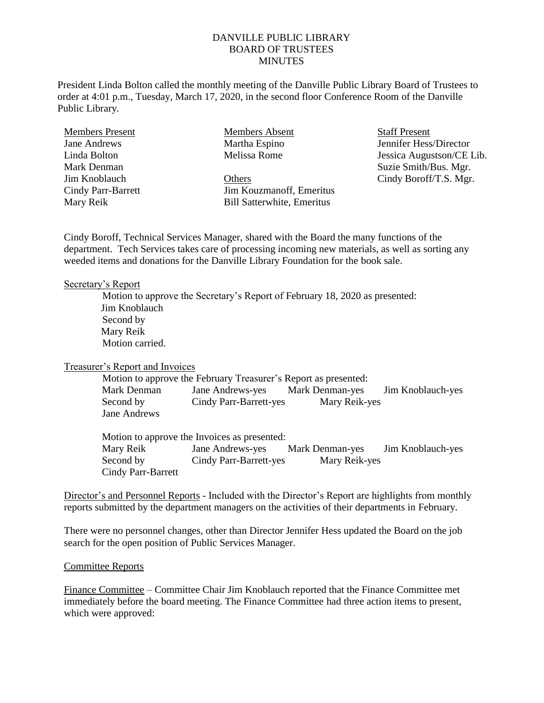# DANVILLE PUBLIC LIBRARY BOARD OF TRUSTEES **MINUTES**

President Linda Bolton called the monthly meeting of the Danville Public Library Board of Trustees to order at 4:01 p.m., Tuesday, March 17, 2020, in the second floor Conference Room of the Danville Public Library.

| <b>Members Present</b>    | Members Absent                    | <b>Staff</b> I |  |
|---------------------------|-----------------------------------|----------------|--|
| Jane Andrews              | Martha Espino                     | Jennif         |  |
| Linda Bolton              | Melissa Rome                      | Jessica        |  |
| Mark Denman               |                                   | Suzie          |  |
| Jim Knoblauch             | Others                            | Cindy          |  |
| <b>Cindy Parr-Barrett</b> | Jim Kouzmanoff, Emeritus          |                |  |
| Mary Reik                 | <b>Bill Satterwhite, Emeritus</b> |                |  |

Present er Hess/Director a Augustson/CE Lib. Smith/Bus. Mgr. Boroff/T.S. Mgr.

Cindy Boroff, Technical Services Manager, shared with the Board the many functions of the department. Tech Services takes care of processing incoming new materials, as well as sorting any weeded items and donations for the Danville Library Foundation for the book sale.

#### Secretary's Report

Motion to approve the Secretary's Report of February 18, 2020 as presented: Jim Knoblauch Second by Mary Reik Motion carried.

Treasurer's Report and Invoices

Motion to approve the February Treasurer's Report as presented: Mark Denman Jane Andrews-yes Mark Denman-yes Jim Knoblauch-yes Second by Cindy Parr-Barrett-yes Mary Reik-yes Jane Andrews

Motion to approve the Invoices as presented: Mary Reik Jane Andrews-yes Mark Denman-yes Jim Knoblauch-yes Second by Cindy Parr-Barrett-yes Mary Reik-yes Cindy Parr-Barrett

Director's and Personnel Reports - Included with the Director's Report are highlights from monthly reports submitted by the department managers on the activities of their departments in February.

There were no personnel changes, other than Director Jennifer Hess updated the Board on the job search for the open position of Public Services Manager.

#### Committee Reports

Finance Committee – Committee Chair Jim Knoblauch reported that the Finance Committee met immediately before the board meeting. The Finance Committee had three action items to present, which were approved: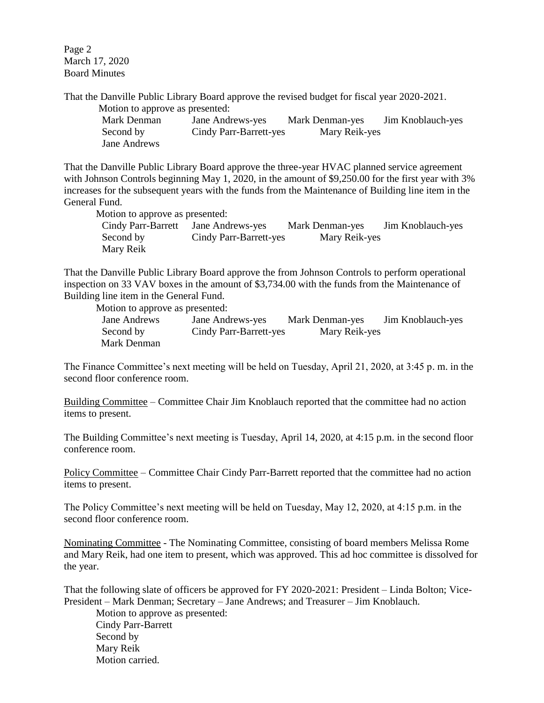Page 2 March 17, 2020 Board Minutes

That the Danville Public Library Board approve the revised budget for fiscal year 2020-2021. Motion to approve as presented:

| $\alpha$ apply as presented. |                        |                 |                   |
|------------------------------|------------------------|-----------------|-------------------|
| Mark Denman                  | Jane Andrews-yes       | Mark Denman-yes | Jim Knoblauch-yes |
| Second by                    | Cindy Parr-Barrett-yes | Mary Reik-yes   |                   |
| Jane Andrews                 |                        |                 |                   |

That the Danville Public Library Board approve the three-year HVAC planned service agreement with Johnson Controls beginning May 1, 2020, in the amount of \$9,250.00 for the first year with 3% increases for the subsequent years with the funds from the Maintenance of Building line item in the General Fund.

Motion to approve as presented:

Cindy Parr-Barrett Jane Andrews-yes Mark Denman-yes Jim Knoblauch-yes Second by Cindy Parr-Barrett-yes Mary Reik-yes Mary Reik

That the Danville Public Library Board approve the from Johnson Controls to perform operational inspection on 33 VAV boxes in the amount of \$3,734.00 with the funds from the Maintenance of Building line item in the General Fund.

Motion to approve as presented:

Jane Andrews Jane Andrews-yes Mark Denman-yes Jim Knoblauch-yes Second by Cindy Parr-Barrett-yes Mary Reik-yes Mark Denman

The Finance Committee's next meeting will be held on Tuesday, April 21, 2020, at 3:45 p. m. in the second floor conference room.

Building Committee – Committee Chair Jim Knoblauch reported that the committee had no action items to present.

The Building Committee's next meeting is Tuesday, April 14, 2020, at 4:15 p.m. in the second floor conference room.

Policy Committee – Committee Chair Cindy Parr-Barrett reported that the committee had no action items to present.

The Policy Committee's next meeting will be held on Tuesday, May 12, 2020, at 4:15 p.m. in the second floor conference room.

Nominating Committee - The Nominating Committee, consisting of board members Melissa Rome and Mary Reik, had one item to present, which was approved. This ad hoc committee is dissolved for the year.

That the following slate of officers be approved for FY 2020-2021: President – Linda Bolton; Vice-President – Mark Denman; Secretary – Jane Andrews; and Treasurer – Jim Knoblauch.

Motion to approve as presented: Cindy Parr-Barrett Second by Mary Reik Motion carried.